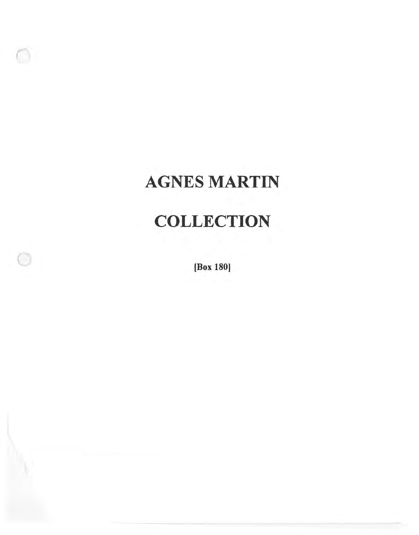# AGNES MARTIN

# **COLLECTION**

[Box 180)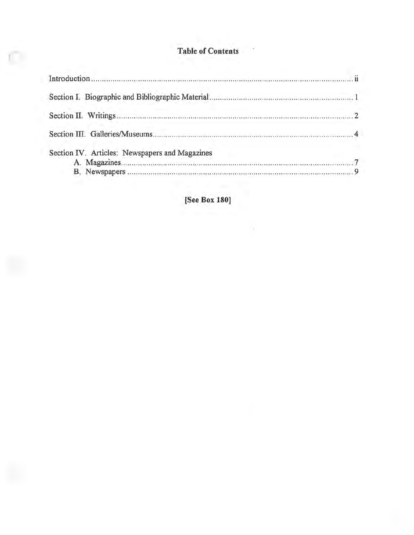#### **Table of Contents**

C

| Section IV. Articles: Newspapers and Magazines |  |
|------------------------------------------------|--|
|                                                |  |

[See Box 180]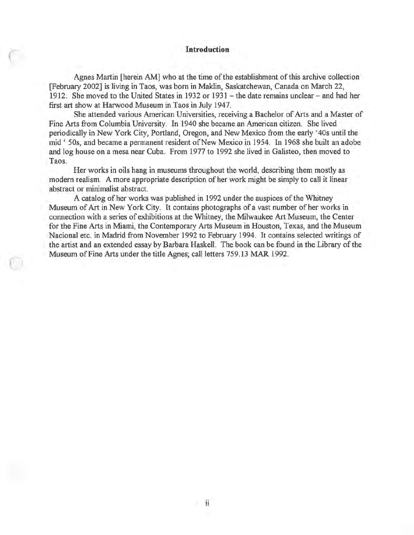## *CONTRACTE CONTRACTE CONTRACTE CONTRACTE CONTRACTE CONTRACTE CONTRACTE CONTRACTE CONTRACTE CONTRACTE CONTRACTE CONTRACTE CONTRACTE CONTRACTE CONTRACTE CONTRACTE CONTRACTE CONTRACTE CONTRACTE CONTRACTE CONTRACTE CONTRACTE*

Agnes Martin [herein AM] who at the time of the establishment of this archive collection [February 2002] is living in Taos, was born in Maklin, Saskatchewan, Canada on March 22, 1912. She moved to the United States in 1932 or 1931 - the date remains unclear - and had her first art show at Harwood Museum in Taos in July 1947.

She attended various American Universities, receiving a Bachelor of Arts and a Master of Fine Arts from Columbia University. In 1940 she became an American citizen. She lived periodically in New York City, Portland, Oregon, and New Mexico from the early '40s until the mid ' 50s, and became a permanent resident of New Mexico in 1954. In 1968 she built an adobe and log house on a mesa near Cuba. From 1977 to 1992 she lived in Galisteo, then moved to Taos.

Her works in oils hang in museums throughout the world, describing them mostly as modern realism. A more appropriate description of her work might be simply to call it linear abstract or minimalist abstract.

A catalog of her works was published in 1992 under the auspices of the Whitney Museum of Art in New York City. It contains photographs of a vast number of her works in connection with a series of exhibitions at the Whitney, the Milwaukee Art Museum, the Center for the Fine Arts in Miami, the Contemporary Arts Museum in Houston, Texas, and the Museum Nacional etc. in Madrid from November 1992 to February 1994. It contains selected writings of the artist and an extended essay by Barbara Haskell. The book can be found in the Library of the Museum of Fine Arts under the title Agnes; call letters 759.13 MAR 1992.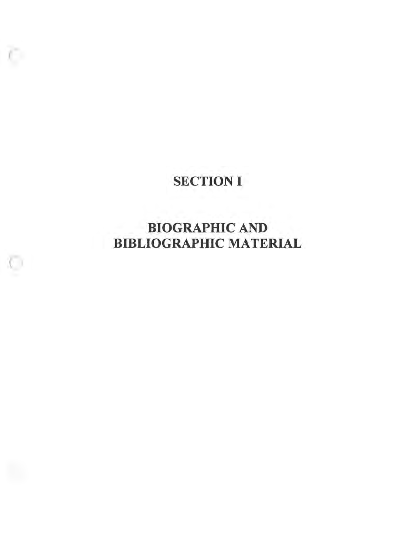### SECTION I

o

### BIOGRAPHIC AND BIBLIOGRAPHIC MATERIAL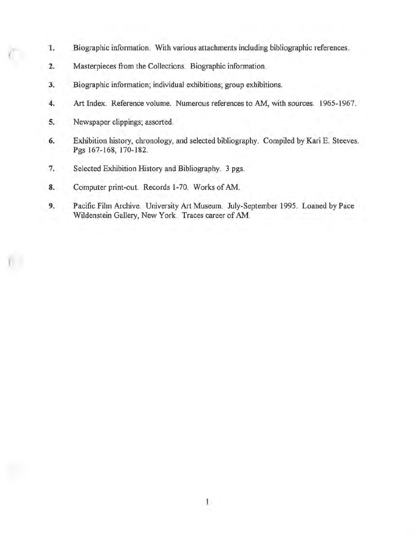- **1.** Biographic information. With various attachments including bibliographic references.
- **2.** Masterpieces from the Collections. Biographic information.
- **3.** Biographic information; individual exhibitions; group exhibitions.
- **4.** Art Index. Reference volume. Numerous references to AM, with sources. 1965-1967.
- **5.** Newspaper clippings; assorted.
- **6.** Exhibition history, chronology, and selected bibliography. Compiled by Kari E. Steeves. Pgs 167-168, 170-182.
- 7. Selected Exhibition History and Bibliography. 3 pgs.
- **8.** Computer print-out. Records 1-70. Works of AM.
- **9.** Pacific Film Archive. University Art Museum. July-September 1995. Loaned by Pace Wildenstein Gallery, New York. Traces career of AM.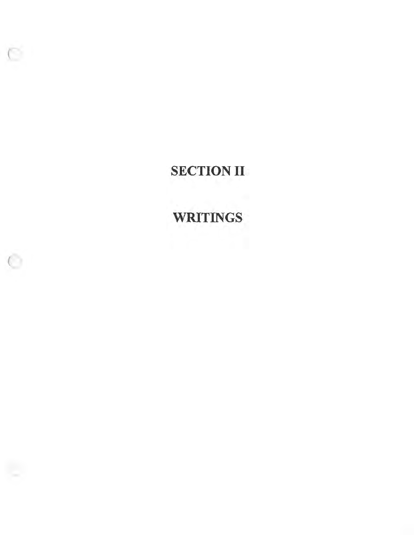**SECTION II** 

 $\subset$ 

**WRITINGS**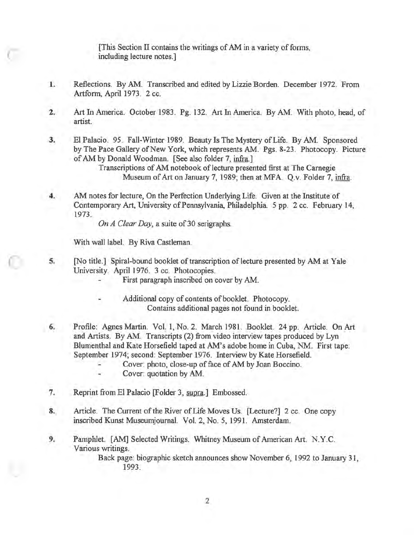[This Section II contains the writings of AM in a variety of forms, including lecture notes.]

- 1. Reflections. By AM. Transcribed and edited by Lizzie Borden. December 1972. From Artform, April 1973. 2 cc.
- 2. Art In America. October 1983. Pg. 132. Art In America. By AM. With photo, head, of artist.
- 3. El Palacio. 95. Fall-Winter 1989. Beauty Is The Mystery of Life. By AM. Sponsored by The Pace Gallery of New York, which represents AM. Pgs. 8-23. Photocopy. Picture of AM by Donald Woodman. [See also folder 7, infra.]

Transcriptions of AM notebook of lecture presented first at The Carnegie Museum of Art on January 7, 1989; then at MFA. Q.v. Folder 7, infra.

4. AM notes for lecture, On the Perfection Underlying Life. Given at the Institute of Contemporary Art, University of Pennsylvania, Philadelphia. 5 pp. 2 cc. February 14, 1973.

*On A Clear Day,* a suite of 30 serigraphs.

With wall label. By Riva Castleman.

C

l

- 5. [No title.] Spiral-bound booklet of transcription of lecture presented by AM at Yale University. April 1976. 3 cc. Photocopies.
	- First paragraph inscribed on cover by AM.
	- Additional copy of contents of booklet. Photocopy. Contains additional pages not found in booklet.
- 6. Profile: Agnes Martin. Vol. 1, No. 2. March 1981. Booklet. 24 pp. Article. On Art and Artists. By AM. Transcripts (2) from video interview tapes produced by Lyn Blumenthal and Kate Horsefield taped at AM's adobe home in Cuba, NM. First tape: September 1974; second: September 1976. Interview by Kate Horsefield.
	- Cover: photo, close-up of face of AM by Joan Boccino.
	- Cover: quotation by AM.
- 7. Reprint from El Palacio [Folder 3, supra.] Embossed.
- 8. Article. The Current of the River of Life Moves Us. [Lecture?] 2 cc. One copy inscribed Kunst Museumjournal. Vol. 2, No. 5, 1991. Amsterdam.
- 9. Pamphlet. [AM] Selected Writings. Whitney Museum of American Art. N.Y.C. Various writings.

Back page: biographic sketch announces show November 6, 1992 to January 31, 1993.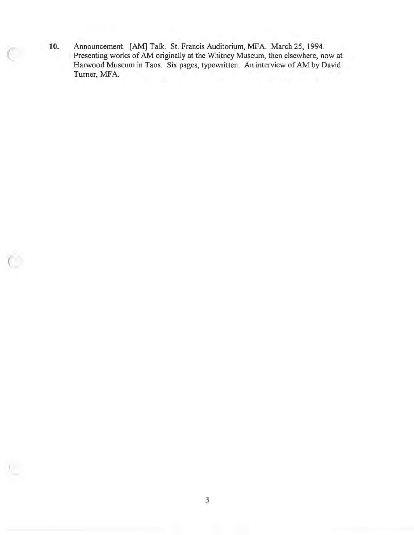10. Announcement. [AM] Talk. St. Francis Auditorium, MFA. March 25, 1994. Presenting works of AM originally at the Whitney Museum, then elsewhere, now at Harwood Museum in Taos. Six pages, typewritten. An interview of AM by David Turner, MFA.

C

 $\subseteq$ 

l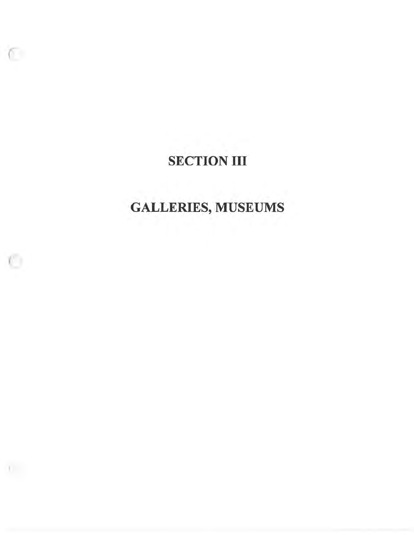### **SECTION III**

 $\sqrt{2}$ 

O

n.

# **GALLERIES, MUSEUMS**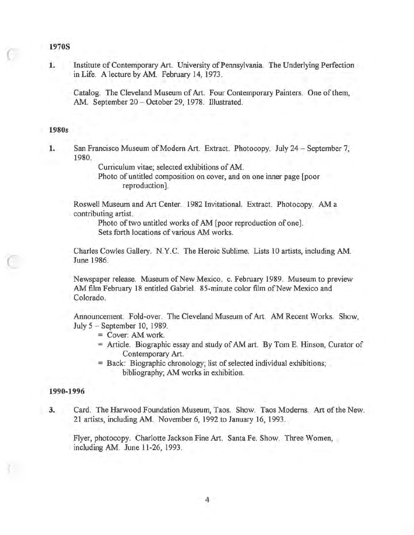#### **1970S**

C

C

**1.** Institute of Contemporary Art. University of Pennsylvania. The Underlying Perfection in Life. A lecture by AM. February 14, 1973.

Catalog. The Cleveland Museum of Art. Four Contemporary Painters. One of them, AM. September 20 - October 29, 1978. Illustrated.

#### **1980s**

**1.** San Francisco Museum of Modem Art. Extract. Photocopy. July 24 - September 7, 1980.

Curriculum vitae; selected exhibitions of AM.

Photo of untitled composition on cover, and on one inner page [poor reproduction].

Roswell Museum and Art Center. 1982 Invitational. Extract. Photocopy. AM a contributing artist.

Photo of two untitled works of AM [poor reproduction of one]. Sets forth locations of various AM works.

Charles Cowles Gallery. N.Y.C. The Heroic Sublime. Lists 10 artists, including AM. June 1986.

Newspaper release. Museum of New Mexico. c. February 1989. Museum to preview AM film February 18 entitled Gabriel. 85-minute color film of New Mexico and Colorado.

Announcement. Fold-over. The Cleveland Museum of Art. AM Recent Works. Show, July 5 - September 10, 1989.

- = Cover: AM work.
- = Article. Biographic essay and study of AM art. By Tom E. Hinson, Curator of Contemporary Art.
- = Back: Biographic chronology; list of selected individual exhibitions; bibliography; AM works in exhibition.

#### **1990-1996**

**3.** Card. The Harwood Foundation Museum, Taos. Show. Taos Modems. Art of the New. 21 artists, including AM. November 6, 1992 to January 16, 1993.

Flyer, photocopy. Charlotte Jackson Fine Art. Santa Fe. Show. Three Women, including AM. June 11-26, 1993.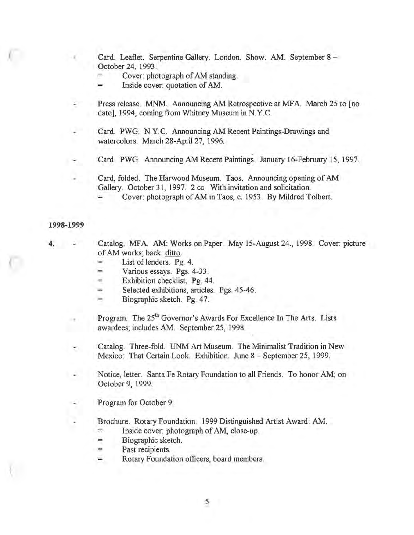Card. Leaflet. Serpentine Gallery. London. Show. AM. September 8 -October 24, 1993.

- Cover: photograph of AM standing.
- Inside cover: quotation of AM.
- Press release. MNM. Announcing AM Retrospective at MFA. March 25 to [no] date], 1994, coming from Whitney Museum in N.Y.C.
- Card. PWG. N.Y.C. Announcing AM Recent Paintings-Drawings and watercolors. March 28-April 27, 1996.
- Card. PWG. Announcing AM Recent Paintings. January 16-February 15, 1997.
- Card, folded. The Harwood Museum. Taos. Announcing opening of AM Gallery. October 31, 1997. 2 cc. With invitation and solicitation. Cover: photograph of AM in Taos, c. 1953. By Mildred Tolbert.

#### **1998-1999**

**4.** 

C

 $\sqrt{2}$ 

(

Catalog. MFA. AM: Works on Paper. May 15-August 24., 1998. Cover: picture of AM works; back: ditto.

- $=$  List of lenders. Pg. 4.
- Various essays. Pgs. 4-33.
- Exhibition checklist. Pg. 44.
- = Selected exhibitions, articles. Pgs. 45-46.
- = Biographic sketch. Pg. 47.

Program. The 25<sup>th</sup> Governor's Awards For Excellence In The Arts. Lists awardees; includes AM. September 25, 1998.

Catalog. Three-fold. UNM Art Museum. The Minimalist Tradition in New Mexico: That Certain Look. Exhibition. June 8 - September 25, 1999.

Notice, letter. Santa Fe Rotary Foundation to all Friends. To honor AM; on October 9, 1999.

Program for October 9.

Brochure. Rotary Foundation. 1999 Distinguished Artist Award: AM.

- = Inside cover: photograph of AM, close-up.
- = Biographic sketch.
- = Past recipients.
- Rotary Foundation officers, board members.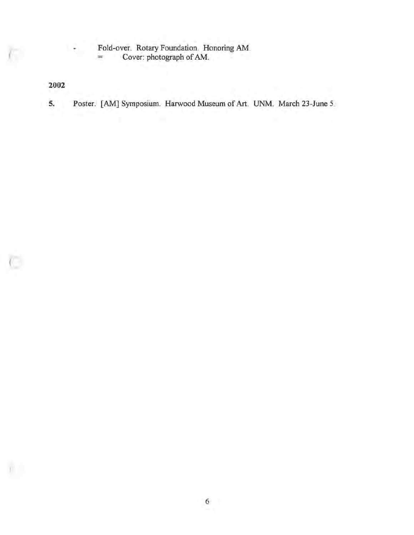Fold-over. Rotary Foundation. Honoring AM.

= Cover: photograph of AM.

**2002** 

**5.** Poster. [AM] Symposium. Harwood Museum of Art. UNM. March 23-June 5.

 $\subset$ 

Yu C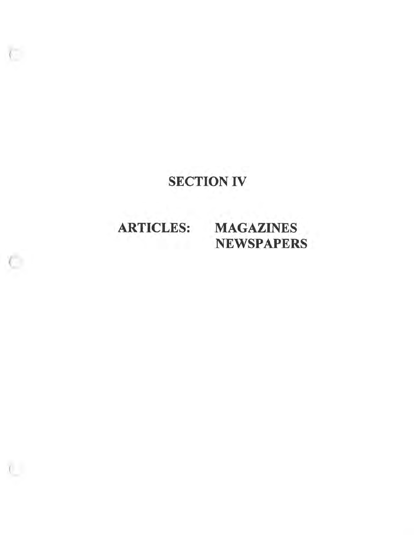### SECTION IV

# ARTICLES: MAGAZINES

 $($ 

 $\sqrt{2}$ 

# NEWSPAPERS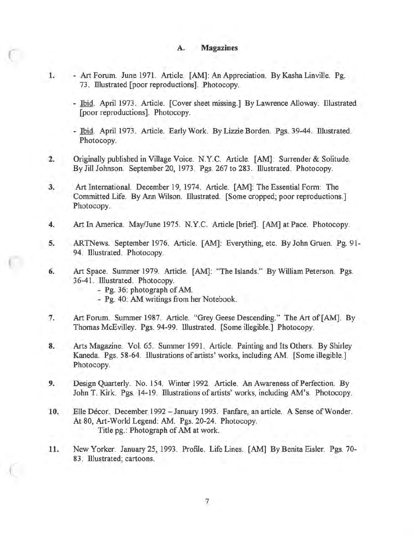#### **A. Magazines**

- 1. Art Forum. June 1971. Article. [AM]: An Appreciation. By Kasha Linville. Pg. 73. Illustrated [poor reproductions]. Photocopy.
	- Ibid. April 1973. Article. [Cover sheet missing.] By Lawrence Alloway. Illustrated [poor reproductions]. Photocopy.
	- Ibid. April 1973. Article. Early Work. By Lizzie Borden. Pgs. 39-44. Illustrated. Photocopy.
- **2.** Originally published in Village Voice. N.Y.C. Article. [AM]: Surrender & Solitude. By Jill Johnson. September 20, 1973. Pgs. 267 to 283. Illustrated. Photocopy.
- **3.** Art International. December 19, 1974. Article. [AM]: The Essential Form: The Committed Life. By Ann Wilson. Illustrated. [Some cropped; poor reproductions.] Photocopy.
- **4.** Art In America. May/June 1975. N.Y.C. Article [brief]. [AM] at Pace. Photocopy.
- 5. ARTNews. September 1976. Article. [AM]: Everything, etc. By John Gruen. Pg. 91- 94. Illustrated. Photocopy.
- **6.**  Art Space. Summer 1979. Article. [AM]: "The Islands." By William Peterson. Pgs. 36-41. Illustrated. Photocopy.
	- Pg. 36: photograph of AM.

 $\mathbb{C}$ 

- Pg. 40: AM writings from her Notebook.
- 7. Art Forum. Summer 1987. Article. "Grey Geese Descending." The Art of [AM]. By Thomas McEvilley. Pgs. 94-99. Illustrated. [Some illegible.] Photocopy.
- **8.** Arts Magazine. Vol. 65. Summer 1991. Article. Painting and Its Others. By Shirley Kaneda. Pgs. 58-64. Illustrations of artists' works, including AM. [Some illegible.] Photocopy.
- **9.** Design Quarterly. No. 154. Winter 1992. Article. An Awareness of Perfection. By John T. Kirk. Pgs. 14-19. Illustrations of artists' works, including AM's. Photocopy.
- 10. Elle Décor. December 1992 January 1993. Fanfare, an article. A Sense of Wonder. At 80, Art-World Legend: AM. Pgs. 20-24. Photocopy. Title pg.: Photograph of AM at work.
- **11.** New Yorker. January 25, 1993. Profile. Life Lines. [AM] By Benita Eisler. Pgs. 70- 83. Illustrated; cartoons.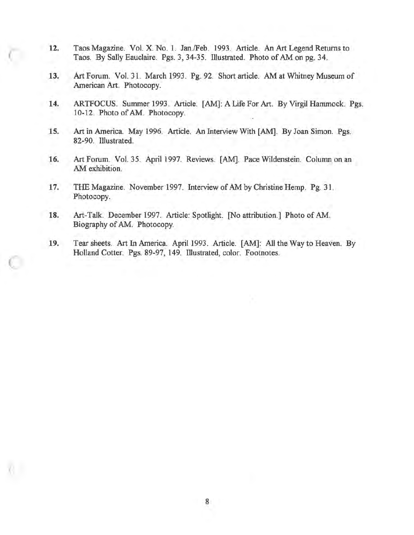**12.** Taos Magazine. Vol. X. No. 1. Jan./Feb. 1993. Article. An Art Legend Returns to Taos. By Sally Eauclaire. Pgs. 3, 34-35. Illustrated. Photo of AM on pg. 34.

C

 $\subset$ 

- **13.** Art Forum. Vol. 31. March 1993. Pg. 92. Short article. AM at Whitney Museum of American Art. Photocopy.
- **14.** ARTFOCUS. Summer 1993. Article. [AM]: A Life For Art. By Virgil Hammock. Pgs. 10-12. Photo of AM. Photocopy.
- **15.** Art in America. May 1996. Article. An Interview With [AM]. By Joan Simon. Pgs. 82-90. Illustrated.
- **16.** Art Forum. Vol. 35. April 1997. Reviews. [AM]. Pace Wildenstein. Column on an AM exhibition.
- 17. THE Magazine. November 1997. Interview of AM by Christine Hemp. Pg. 31. Photocopy.
- **18.** Art-Talk. December 1997. Article: Spotlight. [No attribution.] Photo of AM. Biography of AM. Photocopy.
- **19.**  Tear sheets. Art In America. April 1993. Article. [AM]: All the Way to Heaven. By Holland Cotter. Pgs. 89-97, 149. Illustrated, color. Footnotes.